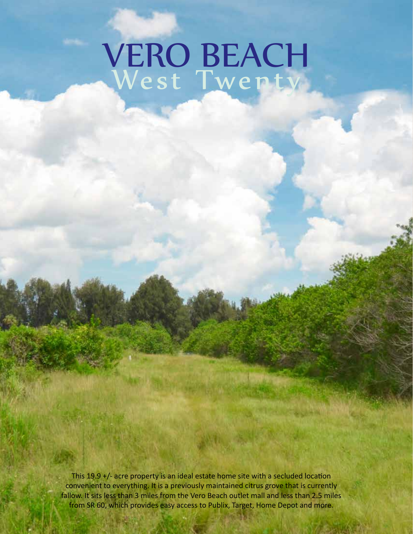## VERO BEACH West Twenty

fallow. It sits less than 3 miles from the Vero Beach outlet mall and less than 2.5 miles from SR 60, which provides easy access to Publix, Target, Home Depot and more. This 19.9 +/- acre property is an ideal estate home site with a secluded location convenient to everything. It is a previously maintained citrus grove that is currently

090412 - JC